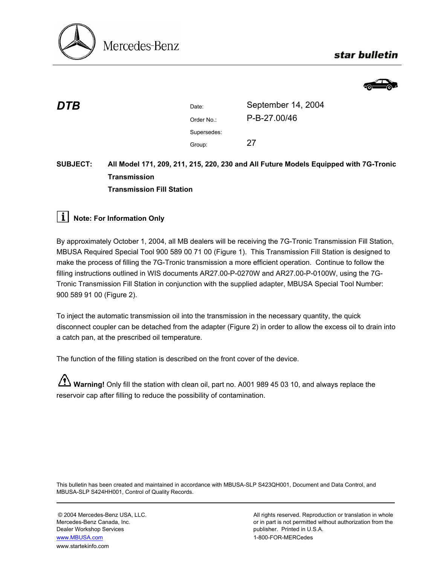

# star bulletin



| DTB | Date:       | September 14, 2004 |
|-----|-------------|--------------------|
|     | Order No.:  | P-B-27.00/46       |
|     | Supersedes: |                    |
|     | Group:      | 27                 |
|     |             |                    |

# **SUBJECT: All Model 171, 209, 211, 215, 220, 230 and All Future Models Equipped with 7G-Tronic Transmission Transmission Fill Station**

# **i** Note: For Information Only

By approximately October 1, 2004, all MB dealers will be receiving the 7G-Tronic Transmission Fill Station, MBUSA Required Special Tool 900 589 00 71 00 (Figure 1). This Transmission Fill Station is designed to make the process of filling the 7G-Tronic transmission a more efficient operation. Continue to follow the filling instructions outlined in WIS documents AR27.00-P-0270W and AR27.00-P-0100W, using the 7G-Tronic Transmission Fill Station in conjunction with the supplied adapter, MBUSA Special Tool Number: 900 589 91 00 (Figure 2).

To inject the automatic transmission oil into the transmission in the necessary quantity, the quick disconnect coupler can be detached from the adapter (Figure 2) in order to allow the excess oil to drain into a catch pan, at the prescribed oil temperature.

The function of the filling station is described on the front cover of the device.

**Warning!** Only fill the station with clean oil, part no. A001 989 45 03 10, and always replace the reservoir cap after filling to reduce the possibility of contamination.

This bulletin has been created and maintained in accordance with MBUSA-SLP S423QH001, Document and Data Control, and MBUSA-SLP S424HH001, Control of Quality Records.

Dealer Workshop Services publisher. Printed in U.S.A. www.MBUSA.com 1-800-FOR-MERCedes www.startekinfo.com